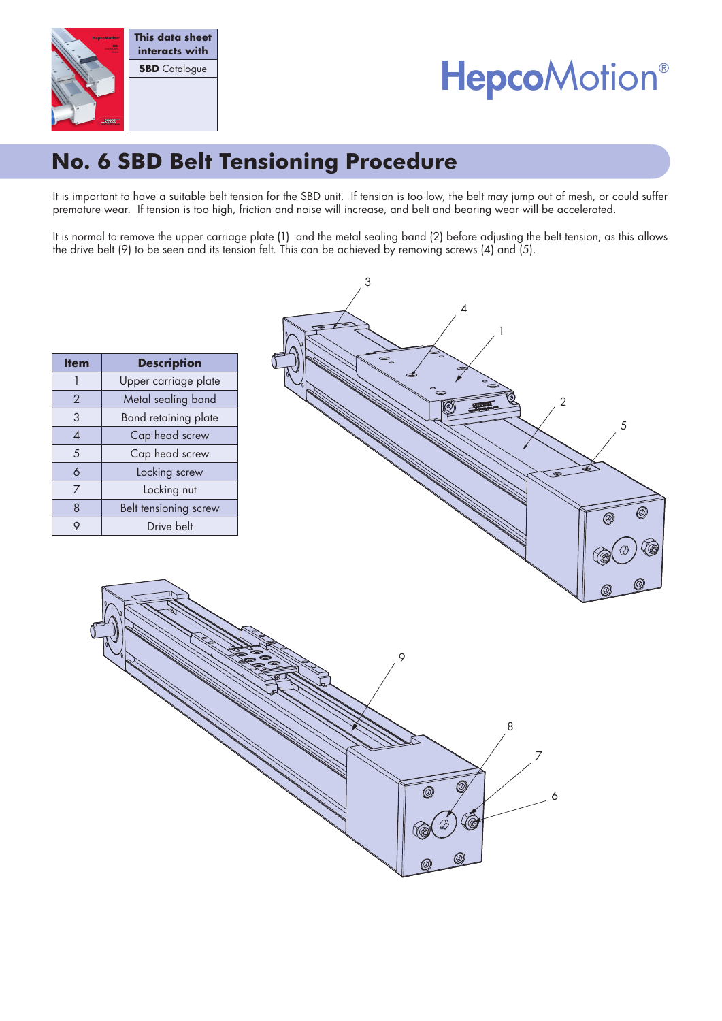

# **HepcoMotion®**

# **No. 6 SBD Belt Tensioning Procedure**

It is important to have a suitable belt tension for the SBD unit. If tension is too low, the belt may jump out of mesh, or could suffer premature wear. If tension is too high, friction and noise will increase, and belt and bearing wear will be accelerated.

It is normal to remove the upper carriage plate (1) and the metal sealing band (2) before adjusting the belt tension, as this allows the drive belt (9) to be seen and its tension felt. This can be achieved by removing screws (4) and (5).

3

| <b>Item</b>    | <b>Description</b>    |  |  |  |  |  |
|----------------|-----------------------|--|--|--|--|--|
|                | Upper carriage plate  |  |  |  |  |  |
| $\overline{2}$ | Metal sealing band    |  |  |  |  |  |
| 3              | Band retaining plate  |  |  |  |  |  |
| 4              | Cap head screw        |  |  |  |  |  |
| 5              | Cap head screw        |  |  |  |  |  |
| 6              | Locking screw         |  |  |  |  |  |
| 7              | Locking nut           |  |  |  |  |  |
| 8              | Belt tensioning screw |  |  |  |  |  |
|                | Drive belt            |  |  |  |  |  |

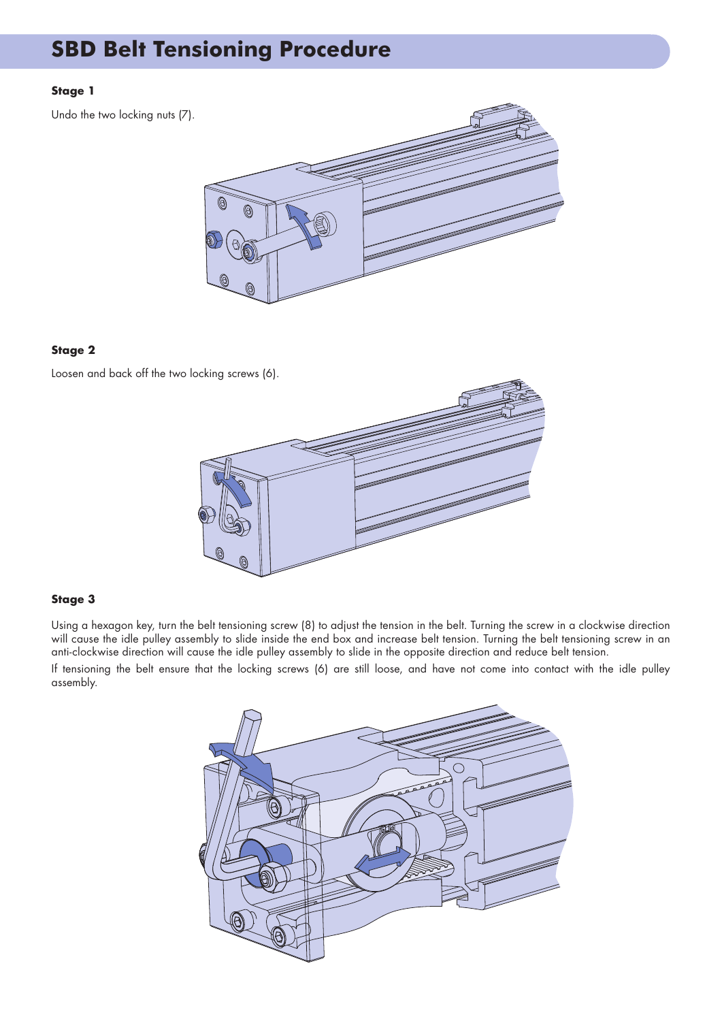### **SBD Belt Tensioning Procedure**

#### **Stage 1**

Undo the two locking nuts (7).

#### **Stage 2**

Loosen and back off the two locking screws (6).



#### **Stage 3**

Using a hexagon key, turn the belt tensioning screw (8) to adjust the tension in the belt. Turning the screw in a clockwise direction will cause the idle pulley assembly to slide inside the end box and increase belt tension. Turning the belt tensioning screw in an anti-clockwise direction will cause the idle pulley assembly to slide in the opposite direction and reduce belt tension.

If tensioning the belt ensure that the locking screws (6) are still loose, and have not come into contact with the idle pulley assembly.

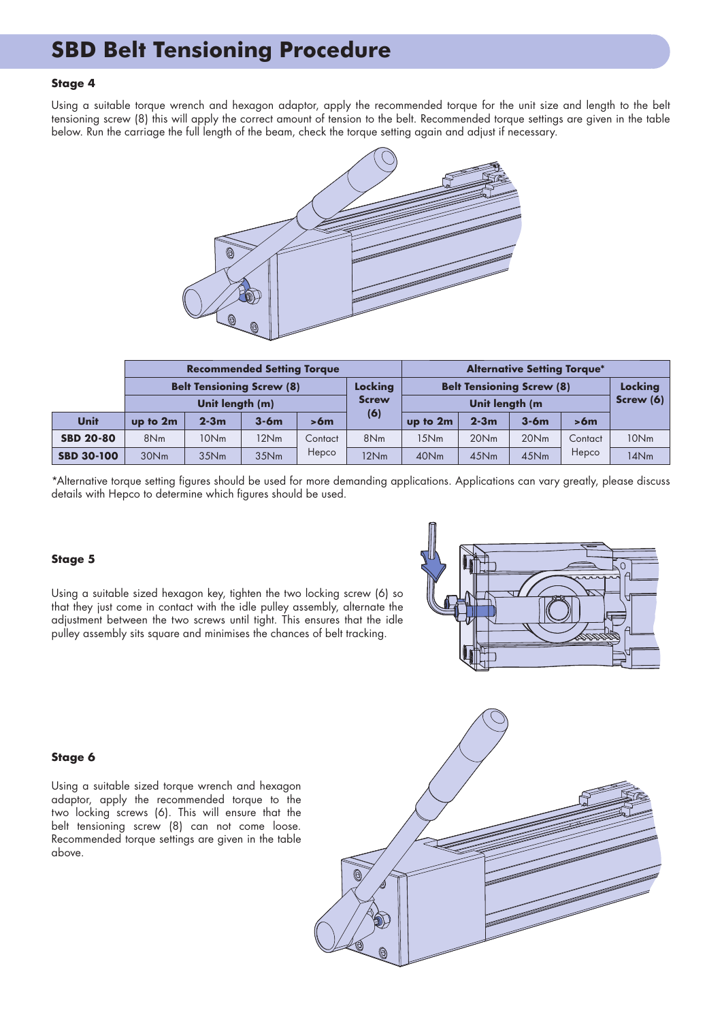### **SBD Belt Tensioning Procedure**

#### **Stage 4**

Using a suitable torque wrench and hexagon adaptor, apply the recommended torque for the unit size and length to the belt tensioning screw (8) this will apply the correct amount of tension to the belt. Recommended torque settings are given in the table below. Run the carriage the full length of the beam, check the torque setting again and adjust if necessary.



|                   | <b>Recommended Setting Torque</b> |          |        |         |                 | <b>Alternative Setting Torque*</b>                 |          |         |         |                        |
|-------------------|-----------------------------------|----------|--------|---------|-----------------|----------------------------------------------------|----------|---------|---------|------------------------|
|                   | <b>Belt Tensioning Screw (8)</b>  |          |        |         | Locking         | <b>Belt Tensioning Screw (8)</b><br>Unit length (m |          |         |         | Locking<br>Screw $(6)$ |
|                   | Unit length (m)                   |          |        |         | <b>Screw</b>    |                                                    |          |         |         |                        |
| Unit              | up to 2m                          | $2 - 3m$ | $3-6m$ | > 6m    | (6)             | up to 2m                                           | $2 - 3m$ | $3-6m$  | >6m     |                        |
| <b>SBD 20-80</b>  | 8N <sub>m</sub>                   | 10Nm     | 12Nm   | Contact | 8N <sub>m</sub> | 15Nm                                               | 20Nm     | 20Nm    | Contact | 10Nm                   |
| <b>SBD 30-100</b> | 30Nm                              | 35Nm     | 35Nm   | Hepco   | 12Nm            | 40Nm                                               | 45Nm     | $45$ Nm | Hepco   | 14Nm                   |

\*Alternative torque setting figures should be used for more demanding applications. Applications can vary greatly, please discuss details with Hepco to determine which figures should be used.

#### **Stage 5**

Using a suitable sized hexagon key, tighten the two locking screw (6) so that they just come in contact with the idle pulley assembly, alternate the adjustment between the two screws until tight. This ensures that the idle pulley assembly sits square and minimises the chances of belt tracking.



#### **Stage 6**

Using a suitable sized torque wrench and hexagon adaptor, apply the recommended torque to the two locking screws (6). This will ensure that the belt tensioning screw (8) can not come loose. Recommended torque settings are given in the table above.